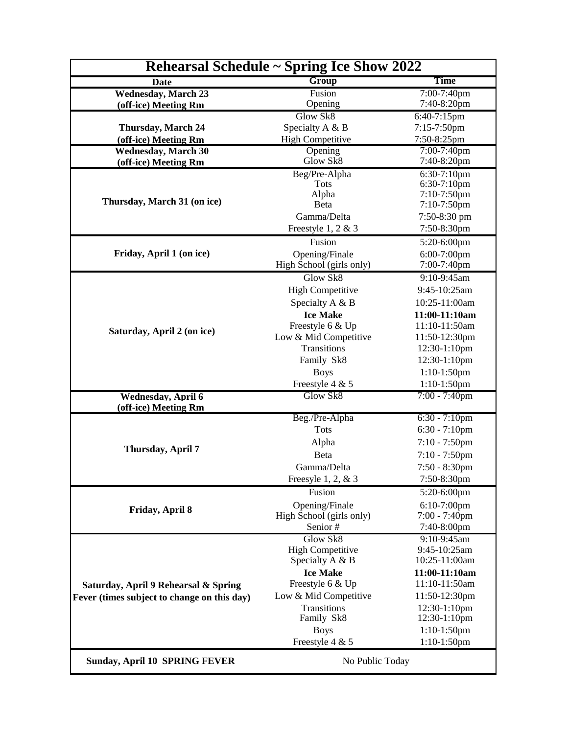|                                             | Rehearsal Schedule ~ Spring Ice Show 2022 |                            |
|---------------------------------------------|-------------------------------------------|----------------------------|
| <b>Date</b>                                 | Group                                     | <b>Time</b>                |
| Wednesday, March 23                         | Fusion                                    | 7:00-7:40pm                |
| (off-ice) Meeting Rm                        | Opening                                   | 7:40-8:20pm                |
|                                             | Glow Sk8                                  | $6:40-7:15$ pm             |
| <b>Thursday, March 24</b>                   | Specialty A & B                           | 7:15-7:50pm                |
| (off-ice) Meeting Rm                        | <b>High Competitive</b>                   | 7:50-8:25pm                |
| <b>Wednesday, March 30</b>                  | Opening                                   | 7:00-7:40pm                |
| (off-ice) Meeting Rm                        | Glow Sk8                                  | 7:40-8:20pm                |
|                                             | Beg/Pre-Alpha                             | $6:30-7:10$ pm             |
|                                             | Tots                                      | 6:30-7:10pm                |
| Thursday, March 31 (on ice)                 | Alpha<br><b>B</b> eta                     | 7:10-7:50pm<br>7:10-7:50pm |
|                                             | Gamma/Delta                               | 7:50-8:30 pm               |
|                                             |                                           | 7:50-8:30pm                |
|                                             | Freestyle 1, 2 & 3                        |                            |
|                                             | Fusion                                    | 5:20-6:00pm                |
| Friday, April 1 (on ice)                    | Opening/Finale                            | 6:00-7:00pm                |
|                                             | High School (girls only)                  | 7:00-7:40pm                |
|                                             | Glow Sk8                                  | 9:10-9:45am                |
|                                             | <b>High Competitive</b>                   | 9:45-10:25am               |
|                                             | Specialty A & B                           | 10:25-11:00am              |
|                                             | <b>Ice Make</b>                           | 11:00-11:10am              |
| Saturday, April 2 (on ice)                  | Freestyle 6 & Up                          | 11:10-11:50am              |
|                                             | Low & Mid Competitive                     | 11:50-12:30pm              |
|                                             | Transitions                               | 12:30-1:10pm               |
|                                             | Family Sk8                                | 12:30-1:10pm               |
|                                             | <b>Boys</b>                               | $1:10-1:50$ pm             |
|                                             | Freestyle 4 & 5                           | $1:10-1:50$ pm             |
| <b>Wednesday</b> , April 6                  | Glow Sk8                                  | $7:00 - 7:40$ pm           |
| (off-ice) Meeting Rm                        | Beg./Pre-Alpha                            | $6:30 - 7:10$ pm           |
|                                             | <b>Tots</b>                               | $6:30 - 7:10$ pm           |
|                                             |                                           | $7:10 - 7:50$ pm           |
| Thursday, April 7                           | Alpha                                     |                            |
|                                             | Beta                                      | $7:10 - 7:50$ pm           |
|                                             | Gamma/Delta                               | 7:50 - 8:30pm              |
|                                             | Freesyle $1, 2, \& 3$                     | 7:50-8:30pm                |
|                                             | Fusion                                    | 5:20-6:00pm                |
| Friday, April 8                             | Opening/Finale                            | 6:10-7:00pm                |
|                                             | High School (girls only)                  | $7:00 - 7:40$ pm           |
|                                             | Senior#                                   | 7:40-8:00pm                |
|                                             | Glow Sk8                                  | 9:10-9:45am                |
|                                             | <b>High Competitive</b>                   | 9:45-10:25am               |
|                                             | Specialty A & B                           | 10:25-11:00am              |
|                                             | <b>Ice Make</b>                           | 11:00-11:10am              |
| Saturday, April 9 Rehearsal & Spring        | Freestyle 6 & Up                          | 11:10-11:50am              |
| Fever (times subject to change on this day) | Low & Mid Competitive                     | 11:50-12:30pm              |
|                                             | Transitions                               | 12:30-1:10pm               |
|                                             | Family Sk8                                | 12:30-1:10pm               |
|                                             | <b>Boys</b>                               | $1:10-1:50$ pm             |
|                                             |                                           |                            |
|                                             | Freestyle 4 & 5                           | 1:10-1:50pm                |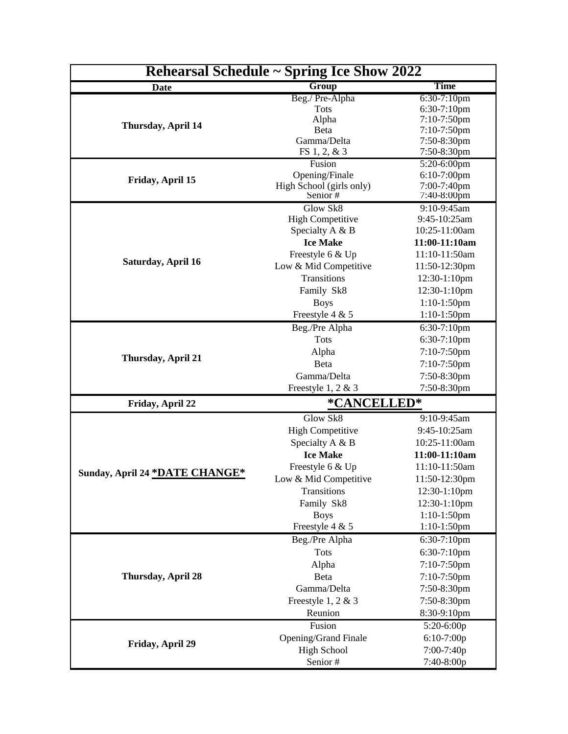| Rehearsal Schedule ~ Spring Ice Show 2022 |                                                                                                                                                                                       |                                                                                                                                                                 |  |  |
|-------------------------------------------|---------------------------------------------------------------------------------------------------------------------------------------------------------------------------------------|-----------------------------------------------------------------------------------------------------------------------------------------------------------------|--|--|
| Date                                      | Group                                                                                                                                                                                 | Time                                                                                                                                                            |  |  |
| <b>Thursday, April 14</b>                 | Beg./ Pre-Alpha<br>Tots<br>Alpha<br>Beta<br>Gamma/Delta<br>FS 1, 2, & 3                                                                                                               | $6:30-7:10$ pm<br>6:30-7:10pm<br>7:10-7:50pm<br>7:10-7:50pm<br>7:50-8:30pm<br>7:50-8:30pm                                                                       |  |  |
| Friday, April 15                          | Fusion<br>Opening/Finale<br>High School (girls only)<br>Senior#                                                                                                                       | $5:20-6:00$ pm<br>$6:10-7:00$ pm<br>7:00-7:40pm<br>7:40-8:00pm                                                                                                  |  |  |
| Saturday, April 16                        | Glow Sk8<br><b>High Competitive</b><br>Specialty A & B<br><b>Ice Make</b><br>Freestyle 6 & Up<br>Low & Mid Competitive<br>Transitions<br>Family Sk8<br><b>Boys</b><br>Freestyle 4 & 5 | 9:10-9:45am<br>9:45-10:25am<br>10:25-11:00am<br>11:00-11:10am<br>11:10-11:50am<br>11:50-12:30pm<br>12:30-1:10pm<br>12:30-1:10pm<br>1:10-1:50pm<br>1:10-1:50pm   |  |  |
| <b>Thursday, April 21</b>                 | Beg./Pre Alpha<br>Tots<br>Alpha<br>Beta<br>Gamma/Delta<br>Freestyle 1, 2 $&$ 3                                                                                                        | 6:30-7:10pm<br>6:30-7:10pm<br>7:10-7:50pm<br>7:10-7:50pm<br>7:50-8:30pm<br>7:50-8:30pm                                                                          |  |  |
| Friday, April 22                          | *CANCELLED*                                                                                                                                                                           |                                                                                                                                                                 |  |  |
| Sunday, April 24 *DATE CHANGE*            | Glow Sk8<br>High Competitive<br>Specialty A & B<br><b>Ice Make</b><br>Freestyle 6 & Up<br>Low & Mid Competitive<br>Transitions<br>Family Sk8<br><b>Boys</b><br>Freestyle 4 & 5        | $9:10-9:45am$<br>9:45-10:25am<br>10:25-11:00am<br>11:00-11:10am<br>11:10-11:50am<br>11:50-12:30pm<br>12:30-1:10pm<br>12:30-1:10pm<br>1:10-1:50pm<br>1:10-1:50pm |  |  |
| Thursday, April 28                        | Beg./Pre Alpha<br><b>Tots</b><br>Alpha<br>Beta<br>Gamma/Delta<br>Freestyle 1, 2 $&$ 3<br>Reunion                                                                                      | 6:30-7:10pm<br>6:30-7:10pm<br>7:10-7:50pm<br>7:10-7:50pm<br>7:50-8:30pm<br>7:50-8:30pm<br>8:30-9:10pm                                                           |  |  |
| Friday, April 29                          | Fusion<br>Opening/Grand Finale<br><b>High School</b><br>Senior#                                                                                                                       | 5:20-6:00p<br>$6:10-7:00p$<br>7:00-7:40p<br>7:40-8:00p                                                                                                          |  |  |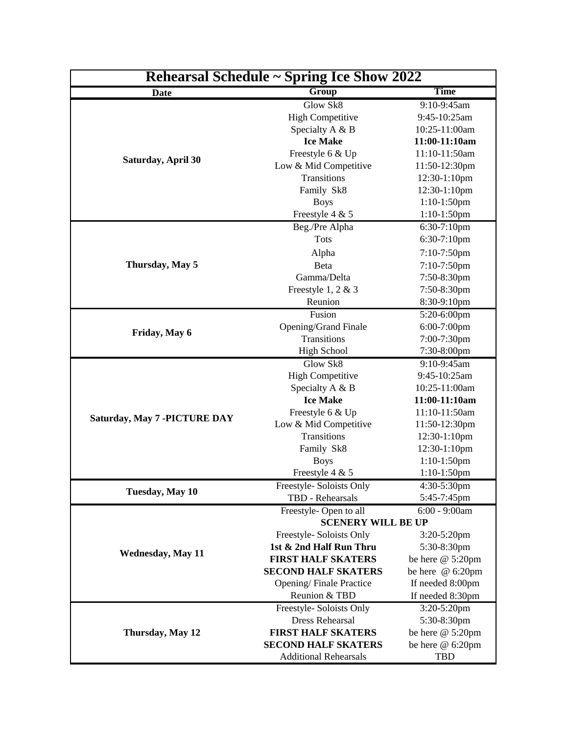| Rehearsal Schedule ~ Spring Ice Show 2022 |                              |                   |  |  |
|-------------------------------------------|------------------------------|-------------------|--|--|
| <b>Date</b>                               | Group                        | <b>Time</b>       |  |  |
| Saturday, April 30                        | Glow Sk8                     | 9:10-9:45am       |  |  |
|                                           | <b>High Competitive</b>      | 9:45-10:25am      |  |  |
|                                           | Specialty A & B              | 10:25-11:00am     |  |  |
|                                           | <b>Ice Make</b>              | 11:00-11:10am     |  |  |
|                                           | Freestyle 6 & Up             | 11:10-11:50am     |  |  |
|                                           | Low & Mid Competitive        | 11:50-12:30pm     |  |  |
|                                           | Transitions                  | 12:30-1:10pm      |  |  |
|                                           | Family Sk8                   | 12:30-1:10pm      |  |  |
|                                           | <b>Boys</b>                  | 1:10-1:50pm       |  |  |
|                                           | Freestyle 4 & 5              | 1:10-1:50pm       |  |  |
|                                           | Beg./Pre Alpha               | 6:30-7:10pm       |  |  |
|                                           | Tots                         | 6:30-7:10pm       |  |  |
|                                           | Alpha                        | 7:10-7:50pm       |  |  |
| Thursday, May 5                           | <b>Beta</b>                  | 7:10-7:50pm       |  |  |
|                                           | Gamma/Delta                  | 7:50-8:30pm       |  |  |
|                                           | Freestyle 1, 2 $&$ 3         | 7:50-8:30pm       |  |  |
|                                           | Reunion                      | 8:30-9:10pm       |  |  |
|                                           | Fusion                       | 5:20-6:00pm       |  |  |
|                                           | Opening/Grand Finale         | 6:00-7:00pm       |  |  |
| Friday, May 6                             | <b>Transitions</b>           | 7:00-7:30pm       |  |  |
|                                           | <b>High School</b>           | 7:30-8:00pm       |  |  |
|                                           | Glow Sk8                     | 9:10-9:45am       |  |  |
|                                           | <b>High Competitive</b>      | 9:45-10:25am      |  |  |
|                                           | Specialty A & B              | 10:25-11:00am     |  |  |
|                                           | <b>Ice Make</b>              | 11:00-11:10am     |  |  |
| Saturday, May 7 - PICTURE DAY             | Freestyle 6 & Up             | 11:10-11:50am     |  |  |
|                                           | Low & Mid Competitive        | 11:50-12:30pm     |  |  |
|                                           | Transitions                  | 12:30-1:10pm      |  |  |
|                                           | Family Sk8                   | 12:30-1:10pm      |  |  |
|                                           | <b>Boys</b>                  | 1:10-1:50pm       |  |  |
|                                           | Freestyle 4 & 5              | 1:10-1:50pm       |  |  |
| Tuesday, May 10                           | Freestyle-Soloists Only      | $4:30-5:30$ pm    |  |  |
|                                           | TBD - Rehearsals             | 5:45-7:45pm       |  |  |
|                                           | Freestyle-Open to all        | $6:00 - 9:00am$   |  |  |
|                                           | <b>SCENERY WILL BE UP</b>    |                   |  |  |
|                                           | Freestyle-Soloists Only      | 3:20-5:20pm       |  |  |
| <b>Wednesday, May 11</b>                  | 1st & 2nd Half Run Thru      | 5:30-8:30pm       |  |  |
|                                           | <b>FIRST HALF SKATERS</b>    | be here $@5:20pm$ |  |  |
|                                           | <b>SECOND HALF SKATERS</b>   | be here @ 6:20pm  |  |  |
|                                           | Opening/Finale Practice      | If needed 8:00pm  |  |  |
|                                           | Reunion & TBD                | If needed 8:30pm  |  |  |
|                                           | Freestyle-Soloists Only      | 3:20-5:20pm       |  |  |
|                                           | <b>Dress Rehearsal</b>       | 5:30-8:30pm       |  |  |
| Thursday, May 12                          | <b>FIRST HALF SKATERS</b>    | be here @ 5:20pm  |  |  |
|                                           | <b>SECOND HALF SKATERS</b>   | be here $@6:20pm$ |  |  |
|                                           | <b>Additional Rehearsals</b> | <b>TBD</b>        |  |  |